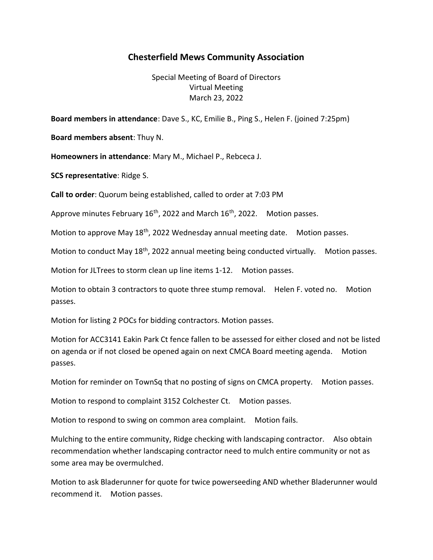## Chesterfield Mews Community Association

Special Meeting of Board of Directors Virtual Meeting March 23, 2022

Board members in attendance: Dave S., KC, Emilie B., Ping S., Helen F. (joined 7:25pm)

Board members absent: Thuy N.

Homeowners in attendance: Mary M., Michael P., Rebceca J.

SCS representative: Ridge S.

Call to order: Quorum being established, called to order at 7:03 PM

Approve minutes February  $16<sup>th</sup>$ , 2022 and March  $16<sup>th</sup>$ , 2022. Motion passes.

Motion to approve May 18<sup>th</sup>, 2022 Wednesday annual meeting date. Motion passes.

Motion to conduct May 18<sup>th</sup>, 2022 annual meeting being conducted virtually. Motion passes.

Motion for JLTrees to storm clean up line items 1-12. Motion passes.

Motion to obtain 3 contractors to quote three stump removal. Helen F. voted no. Motion passes.

Motion for listing 2 POCs for bidding contractors. Motion passes.

Motion for ACC3141 Eakin Park Ct fence fallen to be assessed for either closed and not be listed on agenda or if not closed be opened again on next CMCA Board meeting agenda. Motion passes.

Motion for reminder on TownSq that no posting of signs on CMCA property. Motion passes.

Motion to respond to complaint 3152 Colchester Ct. Motion passes.

Motion to respond to swing on common area complaint. Motion fails.

Mulching to the entire community, Ridge checking with landscaping contractor. Also obtain recommendation whether landscaping contractor need to mulch entire community or not as some area may be overmulched.

Motion to ask Bladerunner for quote for twice powerseeding AND whether Bladerunner would recommend it. Motion passes.